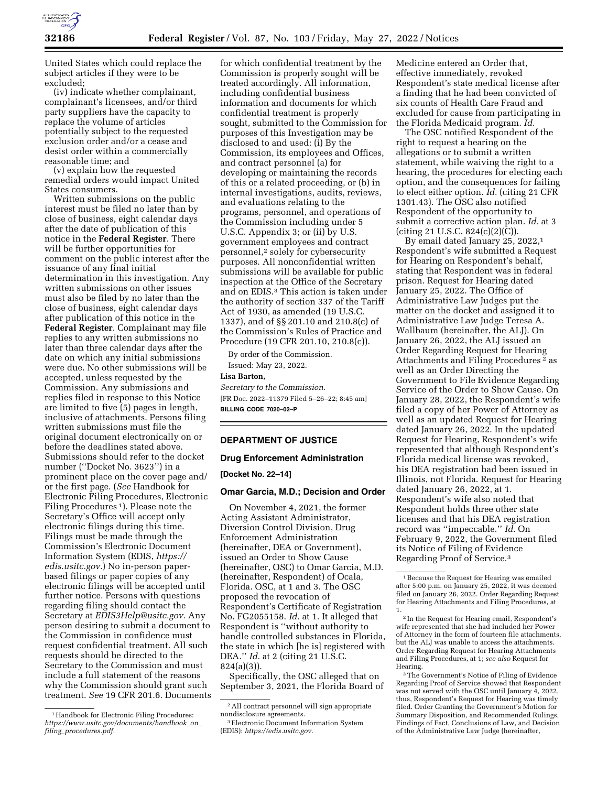

United States which could replace the subject articles if they were to be excluded;

(iv) indicate whether complainant, complainant's licensees, and/or third party suppliers have the capacity to replace the volume of articles potentially subject to the requested exclusion order and/or a cease and desist order within a commercially reasonable time; and

(v) explain how the requested remedial orders would impact United States consumers.

Written submissions on the public interest must be filed no later than by close of business, eight calendar days after the date of publication of this notice in the **Federal Register**. There will be further opportunities for comment on the public interest after the issuance of any final initial determination in this investigation. Any written submissions on other issues must also be filed by no later than the close of business, eight calendar days after publication of this notice in the **Federal Register**. Complainant may file replies to any written submissions no later than three calendar days after the date on which any initial submissions were due. No other submissions will be accepted, unless requested by the Commission. Any submissions and replies filed in response to this Notice are limited to five (5) pages in length, inclusive of attachments. Persons filing written submissions must file the original document electronically on or before the deadlines stated above. Submissions should refer to the docket number (''Docket No. 3623'') in a prominent place on the cover page and/ or the first page. (*See* Handbook for Electronic Filing Procedures, Electronic Filing Procedures 1). Please note the Secretary's Office will accept only electronic filings during this time. Filings must be made through the Commission's Electronic Document Information System (EDIS, *[https://](https://edis.usitc.gov) [edis.usitc.gov.](https://edis.usitc.gov)*) No in-person paperbased filings or paper copies of any electronic filings will be accepted until further notice. Persons with questions regarding filing should contact the Secretary at *[EDIS3Help@usitc.gov.](mailto:EDIS3Help@usitc.gov)* Any person desiring to submit a document to the Commission in confidence must request confidential treatment. All such requests should be directed to the Secretary to the Commission and must include a full statement of the reasons why the Commission should grant such treatment. *See* 19 CFR 201.6. Documents

for which confidential treatment by the Commission is properly sought will be treated accordingly. All information, including confidential business information and documents for which confidential treatment is properly sought, submitted to the Commission for purposes of this Investigation may be disclosed to and used: (i) By the Commission, its employees and Offices, and contract personnel (a) for developing or maintaining the records of this or a related proceeding, or (b) in internal investigations, audits, reviews, and evaluations relating to the programs, personnel, and operations of the Commission including under 5 U.S.C. Appendix 3; or (ii) by U.S. government employees and contract personnel,2 solely for cybersecurity purposes. All nonconfidential written submissions will be available for public inspection at the Office of the Secretary and on EDIS.3 This action is taken under the authority of section 337 of the Tariff Act of 1930, as amended (19 U.S.C. 1337), and of §§ 201.10 and 210.8(c) of the Commission's Rules of Practice and Procedure (19 CFR 201.10, 210.8(c)).

By order of the Commission. Issued: May 23, 2022.

**Lisa Barton,** 

*Secretary to the Commission.*  [FR Doc. 2022–11379 Filed 5–26–22; 8:45 am] **BILLING CODE 7020–02–P** 

## **DEPARTMENT OF JUSTICE**

#### **Drug Enforcement Administration**

#### **[Docket No. 22–14]**

#### **Omar Garcia, M.D.; Decision and Order**

On November 4, 2021, the former Acting Assistant Administrator, Diversion Control Division, Drug Enforcement Administration (hereinafter, DEA or Government), issued an Order to Show Cause (hereinafter, OSC) to Omar Garcia, M.D. (hereinafter, Respondent) of Ocala, Florida. OSC, at 1 and 3. The OSC proposed the revocation of Respondent's Certificate of Registration No. FG2055158. *Id.* at 1. It alleged that Respondent is ''without authority to handle controlled substances in Florida, the state in which [he is] registered with DEA.'' *Id.* at 2 (citing 21 U.S.C. 824(a)(3)).

Specifically, the OSC alleged that on September 3, 2021, the Florida Board of Medicine entered an Order that, effective immediately, revoked Respondent's state medical license after a finding that he had been convicted of six counts of Health Care Fraud and excluded for cause from participating in the Florida Medicaid program. *Id.* 

The OSC notified Respondent of the right to request a hearing on the allegations or to submit a written statement, while waiving the right to a hearing, the procedures for electing each option, and the consequences for failing to elect either option. *Id.* (citing 21 CFR 1301.43). The OSC also notified Respondent of the opportunity to submit a corrective action plan. *Id.* at 3 (citing 21 U.S.C. 824(c)(2)(C)).

By email dated January 25, 2022,1 Respondent's wife submitted a Request for Hearing on Respondent's behalf, stating that Respondent was in federal prison. Request for Hearing dated January 25, 2022. The Office of Administrative Law Judges put the matter on the docket and assigned it to Administrative Law Judge Teresa A. Wallbaum (hereinafter, the ALJ). On January 26, 2022, the ALJ issued an Order Regarding Request for Hearing Attachments and Filing Procedures 2 as well as an Order Directing the Government to File Evidence Regarding Service of the Order to Show Cause. On January 28, 2022, the Respondent's wife filed a copy of her Power of Attorney as well as an updated Request for Hearing dated January 26, 2022. In the updated Request for Hearing, Respondent's wife represented that although Respondent's Florida medical license was revoked, his DEA registration had been issued in Illinois, not Florida. Request for Hearing dated January 26, 2022, at 1. Respondent's wife also noted that Respondent holds three other state licenses and that his DEA registration record was ''impeccable.'' *Id.* On February 9, 2022, the Government filed its Notice of Filing of Evidence Regarding Proof of Service.3

<sup>&</sup>lt;sup>1</sup> Handbook for Electronic Filing Procedures: *[https://www.usitc.gov/documents/handbook](https://www.usitc.gov/documents/handbook_on_filing_procedures.pdf)*\_*on*\_ *filing*\_*[procedures.pdf.](https://www.usitc.gov/documents/handbook_on_filing_procedures.pdf)* 

<sup>2</sup>All contract personnel will sign appropriate nondisclosure agreements.

<sup>3</sup>Electronic Document Information System (EDIS): *[https://edis.usitc.gov.](https://edis.usitc.gov)* 

<sup>1</sup>Because the Request for Hearing was emailed after 5:00 p.m. on January 25, 2022, it was deemed filed on January 26, 2022. Order Regarding Request for Hearing Attachments and Filing Procedures, at 1.

<sup>2</sup> In the Request for Hearing email, Respondent's wife represented that she had included her Power of Attorney in the form of fourteen file attachments, but the ALJ was unable to access the attachments. Order Regarding Request for Hearing Attachments and Filing Procedures, at 1; *see also* Request for Hearing.

<sup>3</sup>The Government's Notice of Filing of Evidence Regarding Proof of Service showed that Respondent was not served with the OSC until January 4, 2022, thus, Respondent's Request for Hearing was timely filed. Order Granting the Government's Motion for Summary Disposition, and Recommended Rulings, Findings of Fact, Conclusions of Law, and Decision of the Administrative Law Judge (hereinafter,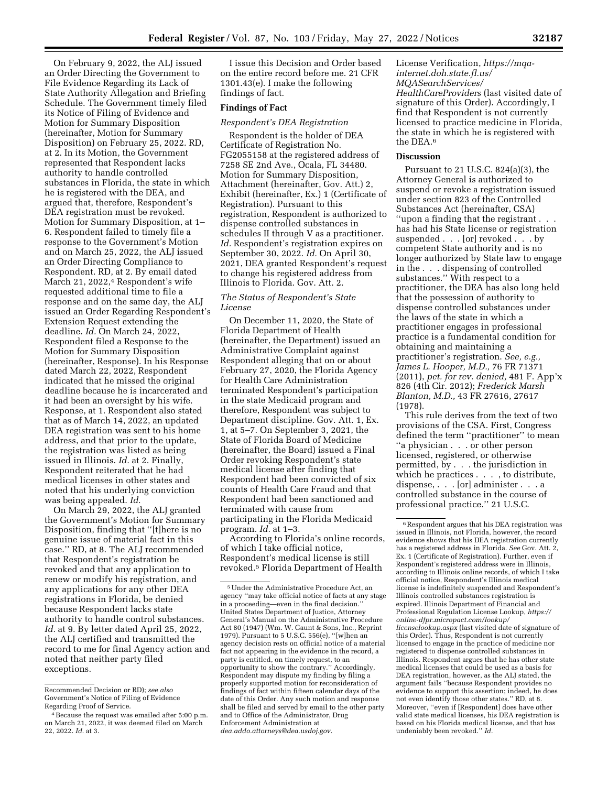On February 9, 2022, the ALJ issued an Order Directing the Government to File Evidence Regarding its Lack of State Authority Allegation and Briefing Schedule. The Government timely filed its Notice of Filing of Evidence and Motion for Summary Disposition (hereinafter, Motion for Summary Disposition) on February 25, 2022. RD, at 2. In its Motion, the Government represented that Respondent lacks authority to handle controlled substances in Florida, the state in which he is registered with the DEA, and argued that, therefore, Respondent's DEA registration must be revoked. Motion for Summary Disposition, at 1– 6. Respondent failed to timely file a response to the Government's Motion and on March 25, 2022, the ALJ issued an Order Directing Compliance to Respondent. RD, at 2. By email dated March 21, 2022,<sup>4</sup> Respondent's wife requested additional time to file a response and on the same day, the ALJ issued an Order Regarding Respondent's Extension Request extending the deadline. *Id.* On March 24, 2022, Respondent filed a Response to the Motion for Summary Disposition (hereinafter, Response). In his Response dated March 22, 2022, Respondent indicated that he missed the original deadline because he is incarcerated and it had been an oversight by his wife. Response, at 1. Respondent also stated that as of March 14, 2022, an updated DEA registration was sent to his home address, and that prior to the update, the registration was listed as being issued in Illinois. *Id.* at 2. Finally, Respondent reiterated that he had medical licenses in other states and noted that his underlying conviction was being appealed. *Id.* 

On March 29, 2022, the ALJ granted the Government's Motion for Summary Disposition, finding that ''[t]here is no genuine issue of material fact in this case.'' RD, at 8. The ALJ recommended that Respondent's registration be revoked and that any application to renew or modify his registration, and any applications for any other DEA registrations in Florida, be denied because Respondent lacks state authority to handle control substances. *Id.* at 9. By letter dated April 25, 2022, the ALJ certified and transmitted the record to me for final Agency action and noted that neither party filed exceptions.

I issue this Decision and Order based on the entire record before me. 21 CFR 1301.43(e). I make the following findings of fact.

## **Findings of Fact**

### *Respondent's DEA Registration*

Respondent is the holder of DEA Certificate of Registration No. FG2055158 at the registered address of 7258 SE 2nd Ave., Ocala, FL 34480. Motion for Summary Disposition, Attachment (hereinafter, Gov. Att.) 2, Exhibit (hereinafter, Ex.) 1 (Certificate of Registration). Pursuant to this registration, Respondent is authorized to dispense controlled substances in schedules II through V as a practitioner. *Id.* Respondent's registration expires on September 30, 2022. *Id.* On April 30, 2021, DEA granted Respondent's request to change his registered address from Illinois to Florida. Gov. Att. 2.

## *The Status of Respondent's State License*

On December 11, 2020, the State of Florida Department of Health (hereinafter, the Department) issued an Administrative Complaint against Respondent alleging that on or about February 27, 2020, the Florida Agency for Health Care Administration terminated Respondent's participation in the state Medicaid program and therefore, Respondent was subject to Department discipline. Gov. Att. 1, Ex. 1, at 5–7. On September 3, 2021, the State of Florida Board of Medicine (hereinafter, the Board) issued a Final Order revoking Respondent's state medical license after finding that Respondent had been convicted of six counts of Health Care Fraud and that Respondent had been sanctioned and terminated with cause from participating in the Florida Medicaid program. *Id.* at 1–3.

According to Florida's online records, of which I take official notice, Respondent's medical license is still revoked.5 Florida Department of Health

License Verification, *[https://mqa](https://mqa-internet.doh.state.fl.us/MQASearchServices/HealthCareProviders)[internet.doh.state.fl.us/](https://mqa-internet.doh.state.fl.us/MQASearchServices/HealthCareProviders)  [MQASearchServices/](https://mqa-internet.doh.state.fl.us/MQASearchServices/HealthCareProviders)  [HealthCareProviders](https://mqa-internet.doh.state.fl.us/MQASearchServices/HealthCareProviders)* (last visited date of signature of this Order). Accordingly, I find that Respondent is not currently licensed to practice medicine in Florida, the state in which he is registered with the DEA.6

# **Discussion**

Pursuant to 21 U.S.C. 824(a)(3), the Attorney General is authorized to suspend or revoke a registration issued under section 823 of the Controlled Substances Act (hereinafter, CSA) ''upon a finding that the registrant . . . has had his State license or registration suspended . . . [or] revoked . . . by competent State authority and is no longer authorized by State law to engage in the . . . dispensing of controlled substances.'' With respect to a practitioner, the DEA has also long held that the possession of authority to dispense controlled substances under the laws of the state in which a practitioner engages in professional practice is a fundamental condition for obtaining and maintaining a practitioner's registration. *See, e.g., James L. Hooper, M.D.,* 76 FR 71371 (2011), *pet. for rev. denied,* 481 F. App'x 826 (4th Cir. 2012); *Frederick Marsh Blanton, M.D.,* 43 FR 27616, 27617 (1978).

This rule derives from the text of two provisions of the CSA. First, Congress defined the term ''practitioner'' to mean ''a physician . . . or other person licensed, registered, or otherwise permitted, by . . . the jurisdiction in which he practices . . . , to distribute, dispense, . . . [or] administer . . . a controlled substance in the course of professional practice.'' 21 U.S.C.

Recommended Decision or RD); *see also*  Government's Notice of Filing of Evidence Regarding Proof of Service.

<sup>4</sup>Because the request was emailed after 5:00 p.m. on March 21, 2022, it was deemed filed on March 22, 2022. *Id.* at 3.

<sup>5</sup>Under the Administrative Procedure Act, an agency ''may take official notice of facts at any stage in a proceeding—even in the final decision.'' United States Department of Justice, Attorney General's Manual on the Administrative Procedure Act 80 (1947) (Wm. W. Gaunt & Sons, Inc., Reprint 1979). Pursuant to 5 U.S.C. 556(e), ''[w]hen an agency decision rests on official notice of a material fact not appearing in the evidence in the record, a party is entitled, on timely request, to an opportunity to show the contrary.'' Accordingly, Respondent may dispute my finding by filing a properly supported motion for reconsideration of findings of fact within fifteen calendar days of the date of this Order. Any such motion and response shall be filed and served by email to the other party and to Office of the Administrator, Drug Enforcement Administration at *[dea.addo.attorneys@dea.usdoj.gov.](mailto:dea.addo.attorneys@dea.usdoj.gov)* 

<sup>6</sup>Respondent argues that his DEA registration was issued in Illinois, not Florida, however, the record evidence shows that his DEA registration currently has a registered address in Florida. *See* Gov. Att. 2, Ex. 1 (Certificate of Registration). Further, even if Respondent's registered address were in Illinois, according to Illinois online records, of which I take official notice, Respondent's Illinois medical license is indefinitely suspended and Respondent's Illinois controlled substances registration is expired. Illinois Department of Financial and Professional Regulation License Lookup, *[https://](https://online-dfpr.micropact.com/lookup/licenselookup.aspx) [online-dfpr.micropact.com/lookup/](https://online-dfpr.micropact.com/lookup/licenselookup.aspx) [licenselookup.aspx](https://online-dfpr.micropact.com/lookup/licenselookup.aspx)* (last visited date of signature of this Order). Thus, Respondent is not currently licensed to engage in the practice of medicine nor registered to dispense controlled substances in Illinois. Respondent argues that he has other state medical licenses that could be used as a basis for DEA registration, however, as the ALJ stated, the argument fails ''because Respondent provides no evidence to support this assertion; indeed, he does not even identify those other states.'' RD, at 8. Moreover, ''even if [Respondent] does have other valid state medical licenses, his DEA registration is based on his Florida medical license, and that has undeniably been revoked.'' *Id.*